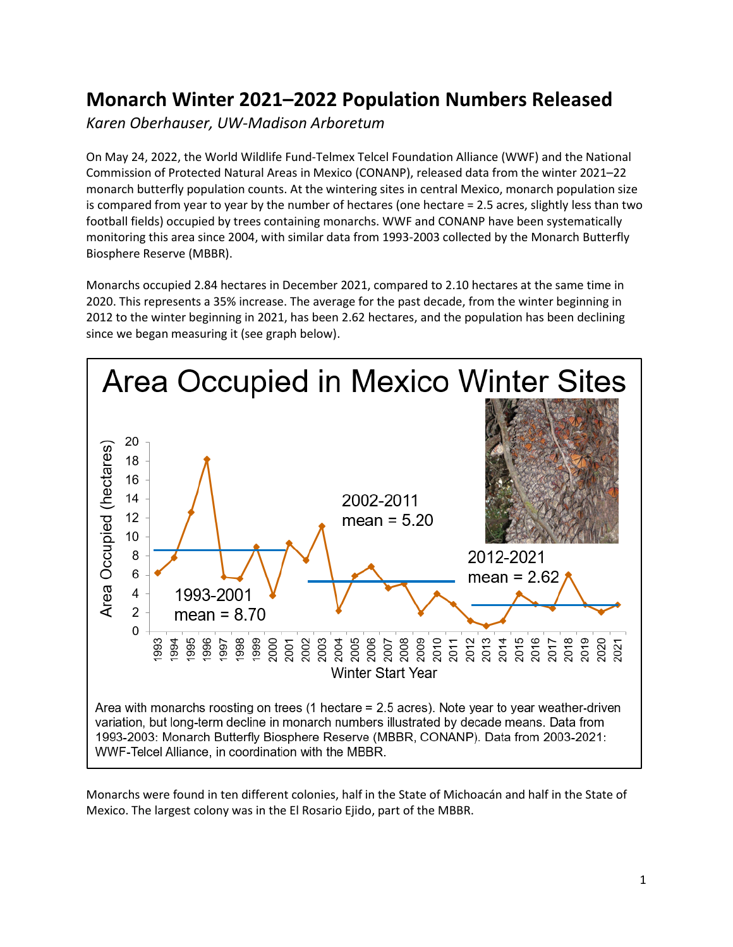## **Monarch Winter 2021–2022 Population Numbers Released**

*Karen Oberhauser, UW-Madison Arboretum*

On May 24, 2022, the World Wildlife Fund-Telmex Telcel Foundation Alliance (WWF) and the National Commission of Protected Natural Areas in Mexico (CONANP), released data from the winter 2021–22 monarch butterfly population counts. At the wintering sites in central Mexico, monarch population size is compared from year to year by the number of hectares (one hectare = 2.5 acres, slightly less than two football fields) occupied by trees containing monarchs. WWF and CONANP have been systematically monitoring this area since 2004, with similar data from 1993-2003 collected by the Monarch Butterfly Biosphere Reserve (MBBR).

Monarchs occupied 2.84 hectares in December 2021, compared to 2.10 hectares at the same time in 2020. This represents a 35% increase. The average for the past decade, from the winter beginning in 2012 to the winter beginning in 2021, has been 2.62 hectares, and the population has been declining since we began measuring it (see graph below).



Monarchs were found in ten different colonies, half in the State of Michoacán and half in the State of Mexico. The largest colony was in the El Rosario Ejido, part of the MBBR.